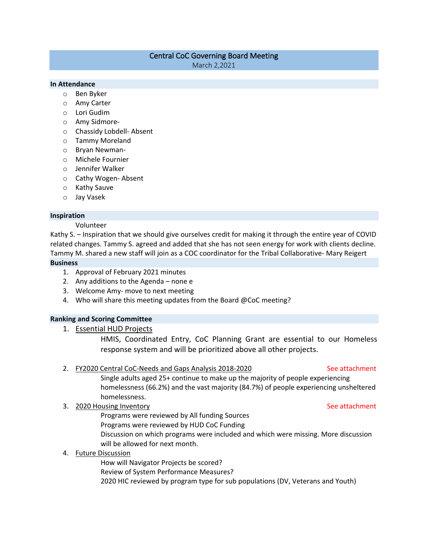# Central CoC Governing Board Meeting

March 2,2021

# **In Attendance**

- o Ben Byker
- o Amy Carter
- o Lori Gudim
- o Amy Sidmore-
- o Chassidy Lobdell- Absent
- o Tammy Moreland
- o Bryan Newman-
- o Michele Fournier
- o Jennifer Walker
- o Cathy Wogen- Absent
- o Kathy Sauve
- o Jay Vasek

### **Inspiration**

### Volunteer

Kathy S. – Inspiration that we should give ourselves credit for making it through the entire year of COVID related changes. Tammy S. agreed and added that she has not seen energy for work with clients decline. Tammy M. shared a new staff will join as a COC coordinator for the Tribal Collaborative- Mary Reigert **Business**

- 1. Approval of February 2021 minutes
- 2. Any additions to the Agenda none e
- 3. Welcome Amy- move to next meeting
- 4. Who will share this meeting updates from the Board @CoC meeting?

# **Ranking and Scoring Committee**

1. Essential HUD Projects

HMIS, Coordinated Entry, CoC Planning Grant are essential to our Homeless response system and will be prioritized above all other projects.

# 2. FY2020 Central CoC-Needs and Gaps Analysis 2018-2020 See attachment

Single adults aged 25+ continue to make up the majority of people experiencing homelessness (66.2%) and the vast majority (84.7%) of people experiencing unsheltered homelessness.

# 3. 2020 Housing Inventory See attachment

Programs were reviewed by All funding Sources Programs were reviewed by HUD CoC Funding Discussion on which programs were included and which were missing. More discussion will be allowed for next month.

# 4. Future Discussion

How will Navigator Projects be scored? Review of System Performance Measures? 2020 HIC reviewed by program type for sub populations (DV, Veterans and Youth)